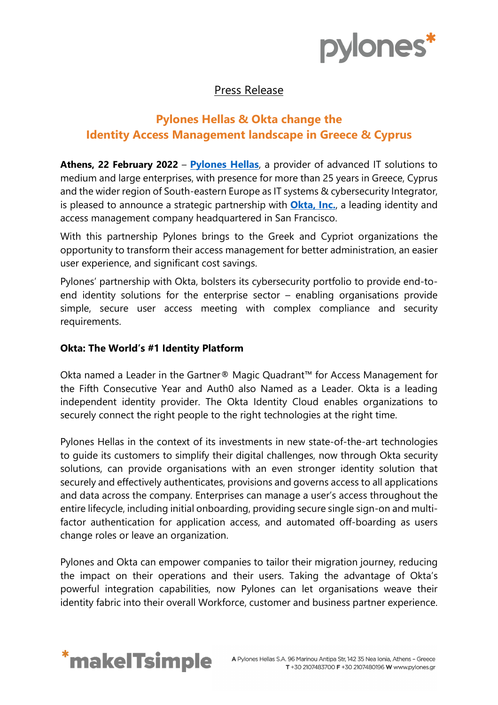

## Press Release

# **Pylones Hellas & Okta change the Identity Access Management landscape in Greece & Cyprus**

**Athens, 22 February 2022** – **[Pylones Hellas](https://www.pylones.gr/)**, a provider of advanced IT solutions to medium and large enterprises, with presence for more than 25 years in Greece, Cyprus and the wider region of South-eastern Europe as IT systems & cybersecurity Integrator, is pleased to announce a strategic partnership with **[Okta, Inc.](https://www.okta.com/)**, a leading identity and access management company headquartered in San Francisco.

With this partnership Pylones brings to the Greek and Cypriot organizations the opportunity to transform their access management for better administration, an easier user experience, and significant cost savings.

Pylones' partnership with Okta, bolsters its cybersecurity portfolio to provide end-toend identity solutions for the enterprise sector – enabling organisations provide simple, secure user access meeting with complex compliance and security requirements.

### **Okta: The World's #1 Identity Platform**

Okta named a Leader in the Gartner® Magic Quadrant™ for Access Management for the Fifth Consecutive Year and Auth0 also Named as a Leader. Okta is a leading independent identity provider. The Okta Identity Cloud enables organizations to securely connect the right people to the right technologies at the right time.

Pylones Hellas in the context of its investments in new state-of-the-art technologies to guide its customers to simplify their digital challenges, now through Okta security solutions, can provide organisations with an even stronger identity solution that securely and effectively authenticates, provisions and governs access to all applications and data across the company. Enterprises can manage a user's access throughout the entire lifecycle, including initial onboarding, providing secure single sign-on and multifactor authentication for application access, and automated off-boarding as users change roles or leave an organization.

Pylones and Okta can empower companies to tailor their migration journey, reducing the impact on their operations and their users. Taking the advantage of Okta's powerful integration capabilities, now Pylones can let organisations weave their identity fabric into their overall Workforce, customer and business partner experience.

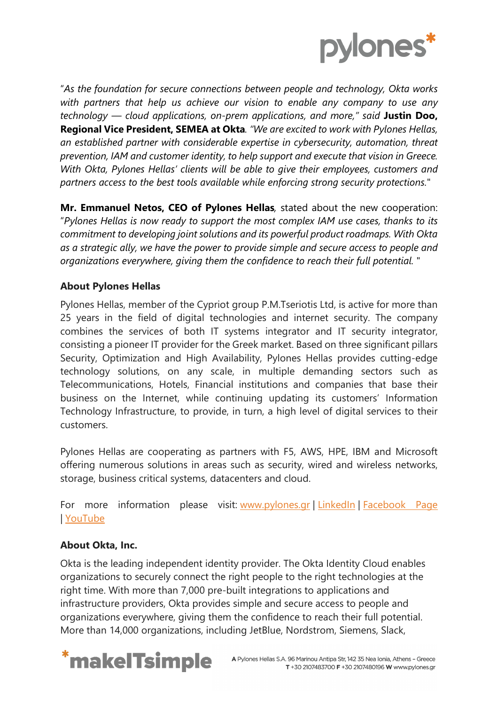

"*As the foundation for secure connections between people and technology, Okta works with partners that help us achieve our vision to enable any company to use any technology — cloud applications, on-prem applications, and more," said* **Justin Doo, Regional Vice President, SEMEA at Okta***. "We are excited to work with Pylones Hellas, an established partner with considerable expertise in cybersecurity, automation, threat prevention, IAM and customer identity, to help support and execute that vision in Greece. With Okta, Pylones Hellas' clients will be able to give their employees, customers and partners access to the best tools available while enforcing strong security protections.*"

**Mr. Emmanuel Netos, CEO of Pylones Hellas***,* stated about the new cooperation: "*Pylones Hellas is now ready to support the most complex IAM use cases, thanks to its commitment to developing joint solutions and its powerful product roadmaps. With Okta as a strategic ally, we have the power to provide simple and secure access to people and organizations everywhere, giving them the confidence to reach their full potential.* "

### **About Pylones Hellas**

Pylones Hellas, member of the Cypriot group P.M.Tseriotis Ltd, is active for more than 25 years in the field of digital technologies and internet security. The company combines the services of both IT systems integrator and IT security integrator, consisting a pioneer IT provider for the Greek market. Based on three significant pillars Security, Optimization and High Availability, Pylones Hellas provides cutting-edge technology solutions, on any scale, in multiple demanding sectors such as Telecommunications, Hotels, Financial institutions and companies that base their business on the Internet, while continuing updating its customers' Information Technology Infrastructure, to provide, in turn, a high level of digital services to their customers.

Pylones Hellas are cooperating as partners with F5, AWS, HPE, IBM and Microsoft offering numerous solutions in areas such as security, wired and wireless networks, storage, business critical systems, datacenters and cloud.

For more information please visit: [www.pylones.gr](https://www.pylones.gr/) | [LinkedIn](https://www.linkedin.com/company/pylones-hellas-sa) | [Facebook](https://www.facebook.com/PYLONESHELLAS/) Page | [YouTube](https://www.youtube.com/channel/UCQYSmf326UMx24r0Dcb2w9w)

### **About Okta, Inc.**

Okta is the leading independent identity provider. The Okta Identity Cloud enables organizations to securely connect the right people to the right technologies at the right time. With more than 7,000 pre-built integrations to applications and infrastructure providers, Okta provides simple and secure access to people and organizations everywhere, giving them the confidence to reach their full potential. More than 14,000 organizations, including JetBlue, Nordstrom, Siemens, Slack,